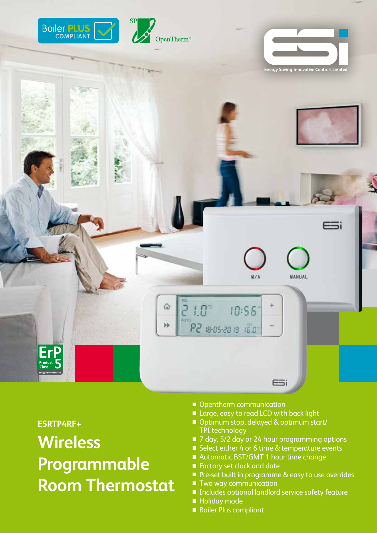

**ESRTP4RF+**

**Wireless Programmable Room Thermostat**

- Opentherm communication
- Large, easy to read LCD with back light
- Optimum stop, delayed & optimum start/ TPI technology
- 7 day, 5/2 day or 24 hour programming options
- Select either 4 or 6 time & temperature events
- Automatic BST/GMT 1 hour time change
- Factory set clock and date
- Pre-set built in programme & easy to use overrides
- Two way communication
- Includes optional landlord service safety feature
- Holiday mode
- Boiler Plus compliant